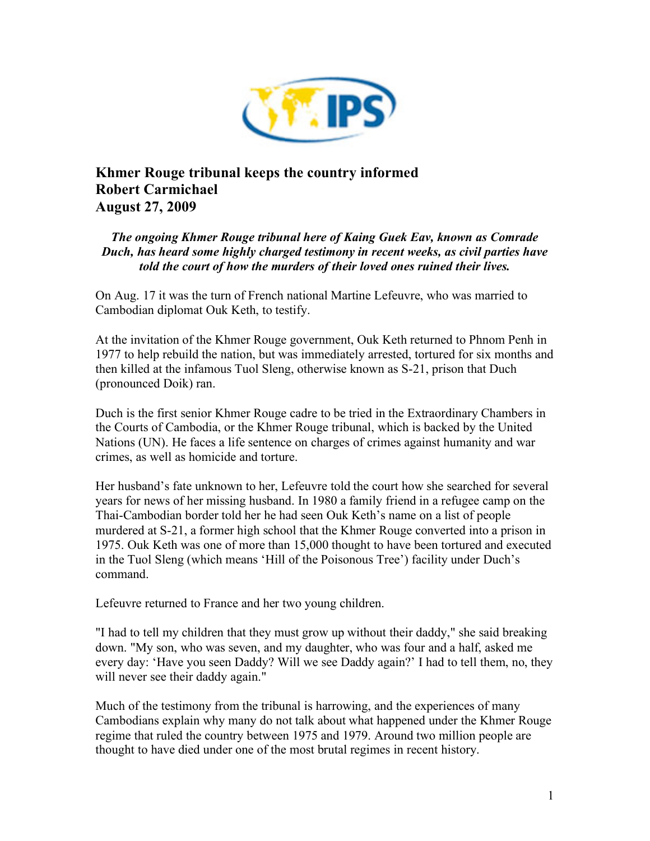

## **Khmer Rouge tribunal keeps the country informed Robert Carmichael August 27, 2009**

*The ongoing Khmer Rouge tribunal here of Kaing Guek Eav, known as Comrade Duch, has heard some highly charged testimony in recent weeks, as civil parties have told the court of how the murders of their loved ones ruined their lives.*

On Aug. 17 it was the turn of French national Martine Lefeuvre, who was married to Cambodian diplomat Ouk Keth, to testify.

At the invitation of the Khmer Rouge government, Ouk Keth returned to Phnom Penh in 1977 to help rebuild the nation, but was immediately arrested, tortured for six months and then killed at the infamous Tuol Sleng, otherwise known as S-21, prison that Duch (pronounced Doik) ran.

Duch is the first senior Khmer Rouge cadre to be tried in the Extraordinary Chambers in the Courts of Cambodia, or the Khmer Rouge tribunal, which is backed by the United Nations (UN). He faces a life sentence on charges of crimes against humanity and war crimes, as well as homicide and torture.

Her husband's fate unknown to her, Lefeuvre told the court how she searched for several years for news of her missing husband. In 1980 a family friend in a refugee camp on the Thai-Cambodian border told her he had seen Ouk Keth's name on a list of people murdered at S-21, a former high school that the Khmer Rouge converted into a prison in 1975. Ouk Keth was one of more than 15,000 thought to have been tortured and executed in the Tuol Sleng (which means 'Hill of the Poisonous Tree') facility under Duch's command.

Lefeuvre returned to France and her two young children.

"I had to tell my children that they must grow up without their daddy," she said breaking down. "My son, who was seven, and my daughter, who was four and a half, asked me every day: 'Have you seen Daddy? Will we see Daddy again?' I had to tell them, no, they will never see their daddy again."

Much of the testimony from the tribunal is harrowing, and the experiences of many Cambodians explain why many do not talk about what happened under the Khmer Rouge regime that ruled the country between 1975 and 1979. Around two million people are thought to have died under one of the most brutal regimes in recent history.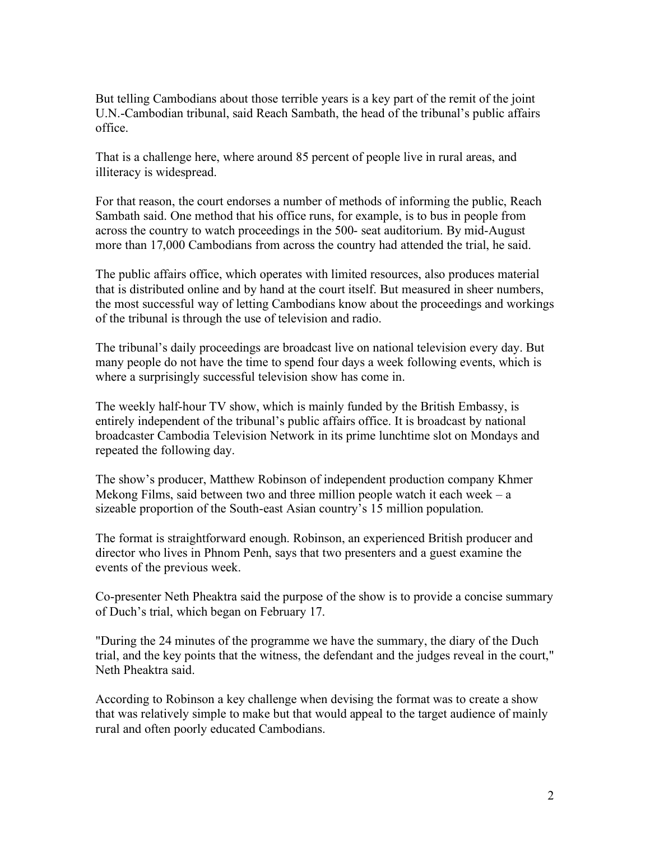But telling Cambodians about those terrible years is a key part of the remit of the joint U.N.-Cambodian tribunal, said Reach Sambath, the head of the tribunal's public affairs office.

That is a challenge here, where around 85 percent of people live in rural areas, and illiteracy is widespread.

For that reason, the court endorses a number of methods of informing the public, Reach Sambath said. One method that his office runs, for example, is to bus in people from across the country to watch proceedings in the 500- seat auditorium. By mid-August more than 17,000 Cambodians from across the country had attended the trial, he said.

The public affairs office, which operates with limited resources, also produces material that is distributed online and by hand at the court itself. But measured in sheer numbers, the most successful way of letting Cambodians know about the proceedings and workings of the tribunal is through the use of television and radio.

The tribunal's daily proceedings are broadcast live on national television every day. But many people do not have the time to spend four days a week following events, which is where a surprisingly successful television show has come in.

The weekly half-hour TV show, which is mainly funded by the British Embassy, is entirely independent of the tribunal's public affairs office. It is broadcast by national broadcaster Cambodia Television Network in its prime lunchtime slot on Mondays and repeated the following day.

The show's producer, Matthew Robinson of independent production company Khmer Mekong Films, said between two and three million people watch it each week –  $a$ sizeable proportion of the South-east Asian country's 15 million population.

The format is straightforward enough. Robinson, an experienced British producer and director who lives in Phnom Penh, says that two presenters and a guest examine the events of the previous week.

Co-presenter Neth Pheaktra said the purpose of the show is to provide a concise summary of Duch's trial, which began on February 17.

"During the 24 minutes of the programme we have the summary, the diary of the Duch trial, and the key points that the witness, the defendant and the judges reveal in the court," Neth Pheaktra said.

According to Robinson a key challenge when devising the format was to create a show that was relatively simple to make but that would appeal to the target audience of mainly rural and often poorly educated Cambodians.